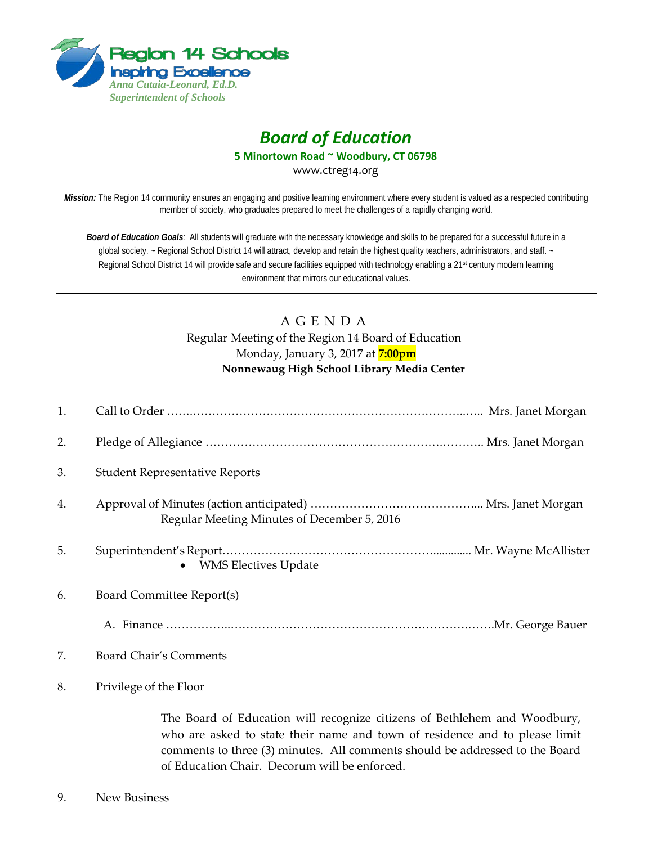

## *Board of Education*

**5 Minortown Road ~ Woodbury, CT 06798**

www.ctreg14.org

*Mission:* The Region 14 community ensures an engaging and positive learning environment where every student is valued as a respected contributing member of society, who graduates prepared to meet the challenges of a rapidly changing world.

*Board of Education Goals:* All students will graduate with the necessary knowledge and skills to be prepared for a successful future in a global society. ~ Regional School District 14 will attract, develop and retain the highest quality teachers, administrators, and staff. ~ Regional School District 14 will provide safe and secure facilities equipped with technology enabling a 21<sup>st</sup> century modern learning environment that mirrors our educational values.

## A G E N D A Regular Meeting of the Region 14 Board of Education Monday, January 3, 2017 at **7:00pm Nonnewaug High School Library Media Center**

| 1. |                                             |
|----|---------------------------------------------|
| 2. |                                             |
| 3. | <b>Student Representative Reports</b>       |
| 4. | Regular Meeting Minutes of December 5, 2016 |
| 5. | • WMS Electives Update                      |
| 6. | Board Committee Report(s)                   |
|    |                                             |
| 7. | Board Chair's Comments                      |
| 8. | Privilege of the Floor                      |

The Board of Education will recognize citizens of Bethlehem and Woodbury, who are asked to state their name and town of residence and to please limit comments to three (3) minutes. All comments should be addressed to the Board of Education Chair. Decorum will be enforced.

9. New Business